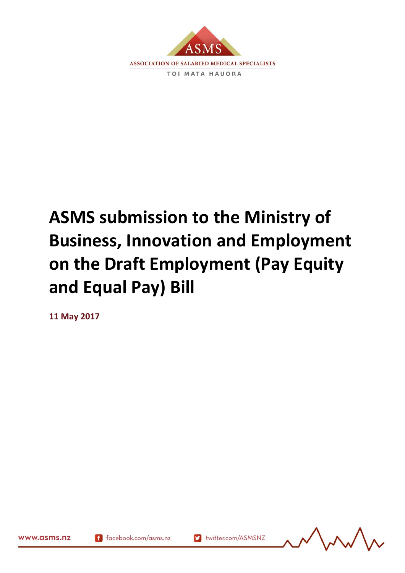

## **ASMS submission to the Ministry of Business, Innovation and Employment on the Draft Employment (Pay Equity and Equal Pay) Bill**

**11 May 2017**



www.asms.nz

167945.2

f facebook.com/asms.nz

Muslim twitter.com/ASMSNZ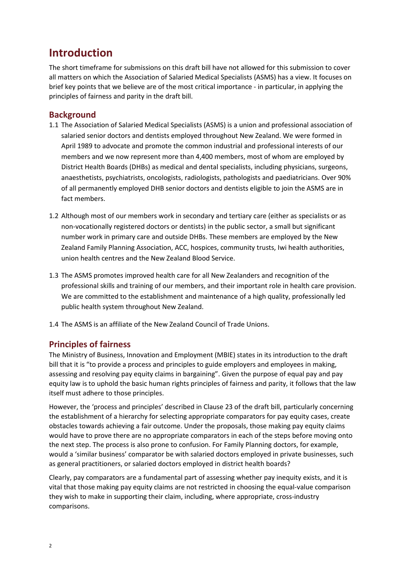## **Introduction**

The short timeframe for submissions on this draft bill have not allowed for this submission to cover all matters on which the Association of Salaried Medical Specialists (ASMS) has a view. It focuses on brief key points that we believe are of the most critical importance - in particular, in applying the principles of fairness and parity in the draft bill.

## **Background**

- 1.1 The Association of Salaried Medical Specialists (ASMS) is a union and professional association of salaried senior doctors and dentists employed throughout New Zealand. We were formed in April 1989 to advocate and promote the common industrial and professional interests of our members and we now represent more than 4,400 members, most of whom are employed by District Health Boards (DHBs) as medical and dental specialists, including physicians, surgeons, anaesthetists, psychiatrists, oncologists, radiologists, pathologists and paediatricians. Over 90% of all permanently employed DHB senior doctors and dentists eligible to join the ASMS are in fact members.
- 1.2 Although most of our members work in secondary and tertiary care (either as specialists or as non-vocationally registered doctors or dentists) in the public sector, a small but significant number work in primary care and outside DHBs. These members are employed by the New Zealand Family Planning Association, ACC, hospices, community trusts, Iwi health authorities, union health centres and the New Zealand Blood Service.
- 1.3 The ASMS promotes improved health care for all New Zealanders and recognition of the professional skills and training of our members, and their important role in health care provision. We are committed to the establishment and maintenance of a high quality, professionally led public health system throughout New Zealand.
- 1.4 The ASMS is an affiliate of the New Zealand Council of Trade Unions.

## **Principles of fairness**

The Ministry of Business, Innovation and Employment (MBIE) states in its introduction to the draft bill that it is "to provide a process and principles to guide employers and employees in making, assessing and resolving pay equity claims in bargaining". Given the purpose of equal pay and pay equity law is to uphold the basic human rights principles of fairness and parity, it follows that the law itself must adhere to those principles.

However, the 'process and principles' described in Clause 23 of the draft bill, particularly concerning the establishment of a hierarchy for selecting appropriate comparators for pay equity cases, create obstacles towards achieving a fair outcome. Under the proposals, those making pay equity claims would have to prove there are no appropriate comparators in each of the steps before moving onto the next step. The process is also prone to confusion. For Family Planning doctors, for example, would a 'similar business' comparator be with salaried doctors employed in private businesses, such as general practitioners, or salaried doctors employed in district health boards?

Clearly, pay comparators are a fundamental part of assessing whether pay inequity exists, and it is vital that those making pay equity claims are not restricted in choosing the equal-value comparison they wish to make in supporting their claim, including, where appropriate, cross-industry comparisons.